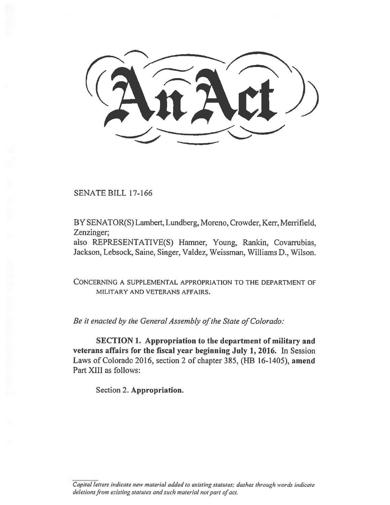SENATE BILL 17-166

BY SENATOR(S) Lambert, Lundberg, Moreno, Crowder, Kerr, Merrifield, Zenzinger;

also REPRESENTATIVE(S) Hamner, Young, Rankin, Covarrubias, Jackson, Lebsock, Saine, Singer, Valdez, Weissman, Williams D., Wilson.

CONCERNING A SUPPLEMENTAL APPROPRIATION TO THE DEPARTMENT OF MILITARY AND VETERANS AFFAIRS.

*Be it enacted by the General Assembly of the State of Colorado:* 

**SECTION 1. Appropriation to the department of military and veterans affairs for the fiscal year beginning July 1, 2016.** In Session Laws of Colorado 2016, section 2 of chapter 385, (FIB 16-1405), **amend**  Part XIII as follows:

Section 2. **Appropriation.** 

*Capital letters indicate new material added to existing statutes; dashes through worth indicate deletions from existing statutes and such material not part of act.*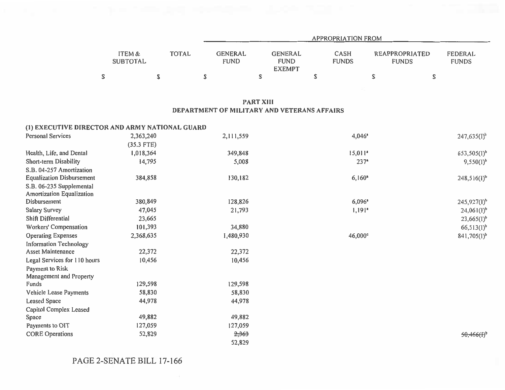|                           |       | <b>APPROPRIATION FROM</b> |                                                |                      |                                       |                         |  |  |  |  |
|---------------------------|-------|---------------------------|------------------------------------------------|----------------------|---------------------------------------|-------------------------|--|--|--|--|
| ITEM &<br><b>SUBTOTAL</b> | TOTAL | GENERAL<br><b>FUND</b>    | <b>GENERAL</b><br><b>FUND</b><br><b>EXEMPT</b> | CASH<br><b>FUNDS</b> | <b>REAPPROPRIATED</b><br><b>FUNDS</b> | FEDERAL<br><b>FUNDS</b> |  |  |  |  |
|                           | Œ     |                           |                                                | ۵                    |                                       |                         |  |  |  |  |

## **PART XIII DEPARTMENT OF MILITARY AND VETERANS AFFAIRS**

## **(1) EXECUTIVE DIRECTOR AND ARMY NATIONAL GUARD**

| <b>Personal Services</b>         | 2,363,240    | 2,111,559 | 4,046*                | $247,635(I)^{b}$ |
|----------------------------------|--------------|-----------|-----------------------|------------------|
|                                  | $(35.3$ FTE) |           |                       |                  |
| Health, Life, and Dental         | 1,018,364    | 349,848   | $15,011$ <sup>a</sup> | $653,505(1)^b$   |
| Short-term Disability            | 14,795       | 5,008     | $237*$                | $9,550(1)^{b}$   |
| S.B. 04-257 Amortization         |              |           |                       |                  |
| <b>Equalization Disbursement</b> | 384,858      | 130,182   | $6,160*$              | $248,516(1)^b$   |
| S.B. 06-235 Supplemental         |              |           |                       |                  |
| <b>Amortization Equalization</b> |              |           |                       |                  |
| Disbursement                     | 380,849      | 128,826   | 6,096                 | $245,927(1)^b$   |
| Salary Survey                    | 47,045       | 21,793    | $1,191$ <sup>*</sup>  | $24,061(l)^{b}$  |
| Shift Differential               | 23,665       |           |                       | $23,665(1)^b$    |
| Workers' Compensation            | 101,393      | 34,880    |                       | $66,513(1)^b$    |
| <b>Operating Expenses</b>        | 2,368,635    | 1,480,930 | $46,000^{\circ}$      | $841,705(1)^b$   |
| <b>Information Technology</b>    |              |           |                       |                  |
| Asset Maintenance                | 22,372       | 22,372    |                       |                  |
| Legal Services for 110 hours     | 10,456       | 10,456    |                       |                  |
| Payment to Risk                  |              |           |                       |                  |
| Management and Property          |              |           |                       |                  |
| Funds                            | 129,598      | 129,598   |                       |                  |
| Vehicle Lease Payments           | 58,830       | 58,830    |                       |                  |
| <b>Leased Space</b>              | 44,978       | 44,978    |                       |                  |
| Capitol Complex Leased           |              |           |                       |                  |
| Space                            | 49,882       | 49,882    |                       |                  |
| Payments to OIT                  | 127,059      | 127,059   |                       |                  |
| <b>CORE Operations</b>           | 52,829       | 2,363     |                       | $50,466(f)^{b}$  |
|                                  |              | 52,829    |                       |                  |

PAGE 2-SENATE BILL 17-166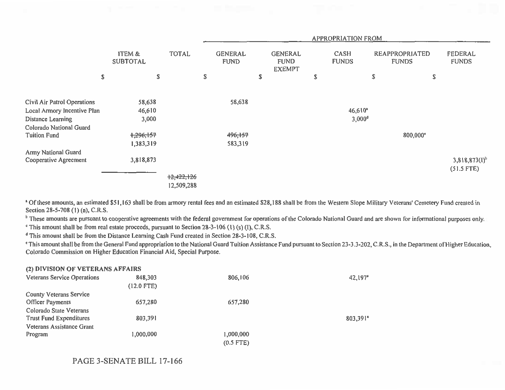|                             |                                      |              | <b>APPROPRIATION FROM</b>     |                                                |    |                       |                                       |                             |  |
|-----------------------------|--------------------------------------|--------------|-------------------------------|------------------------------------------------|----|-----------------------|---------------------------------------|-----------------------------|--|
|                             | <b>ITEM &amp;</b><br><b>SUBTOTAL</b> | <b>TOTAL</b> | <b>GENERAL</b><br><b>FUND</b> | <b>GENERAL</b><br><b>FUND</b><br><b>EXEMPT</b> |    | CASH<br><b>FUNDS</b>  | <b>REAPPROPRIATED</b><br><b>FUNDS</b> | FEDERAL<br><b>FUNDS</b>     |  |
| \$                          | \$                                   |              | \$                            | \$                                             | \$ | \$                    | \$                                    |                             |  |
| Civil Air Patrol Operations | 58,638                               |              | 58,638                        |                                                |    |                       |                                       |                             |  |
| Local Armory Incentive Plan | 46,610                               |              |                               |                                                |    | $46,610$ <sup>*</sup> |                                       |                             |  |
| Distance Learning           | 3,000                                |              |                               |                                                |    | 3,000 <sup>d</sup>    |                                       |                             |  |
| Colorado National Guard     |                                      |              |                               |                                                |    |                       |                                       |                             |  |
| <b>Tuition Fund</b>         | 1,296,157                            |              | 496,157                       |                                                |    |                       | 800,000 <sup>e</sup>                  |                             |  |
|                             | 1,383,319                            |              | 583,319                       |                                                |    |                       |                                       |                             |  |
| Army National Guard         |                                      |              |                               |                                                |    |                       |                                       |                             |  |
| Cooperative Agreement       | 3,818,873                            |              |                               |                                                |    |                       |                                       | $3,818,873(1)$ <sup>b</sup> |  |
|                             |                                      |              |                               |                                                |    |                       |                                       | $(51.5$ FTE)                |  |
|                             |                                      | 12,422,126   |                               |                                                |    |                       |                                       |                             |  |
|                             |                                      | 12,509,288   |                               |                                                |    |                       |                                       |                             |  |

<sup>a</sup> Of these amounts, an estimated \$51,163 shall be from armory rental fees and an estimated \$28,188 shall be from the Western Slope Military Veterans' Cemetery Fund created in Section 28-5-708 (1) (a), C.R.S.

<sup>t</sup> These amounts are pursuant to cooperative agreements with the federal government for operations of the Colorado National Guard and are shown for informational purposes only.

This amount shall be from real estate proceeds, pursuant to Section 28-3-106 (1) (s) (I), C.R.S.

**<sup>d</sup>**This amount shall be from the Distance Learning Cash Fund created in Section 28-3-108, C.R.S.

This amount shall be from the General Fund appropriation to the National Guard Tuition Assistance Fund pursuant to Section 23-3.3-202, C.R.S., in the Department of Higher Education, Colorado Commission on Higher Education Financial Aid, Special Purpose.

| (2) DIVISION OF VETERANS AFFAIRS   |              |             |          |
|------------------------------------|--------------|-------------|----------|
| <b>Veterans Service Operations</b> | 848,303      | 806,106     | 42,197*  |
|                                    | $(12.0$ FTE) |             |          |
| <b>County Veterans Service</b>     |              |             |          |
| <b>Officer Payments</b>            | 657,280      | 657,280     |          |
| Colorado State Veterans            |              |             |          |
| <b>Trust Fund Expenditures</b>     | 803,391      |             | 803,391* |
| Veterans Assistance Grant          |              |             |          |
| Program                            | 1,000,000    | 1,000,000   |          |
|                                    |              | $(0.5$ FTE) |          |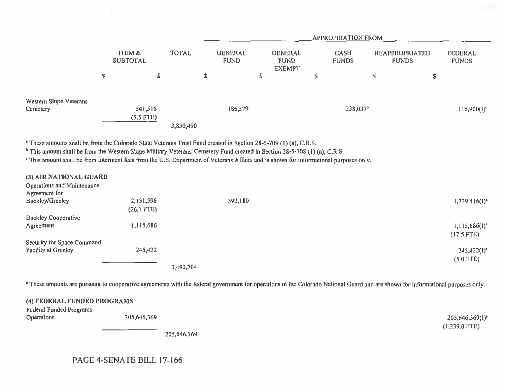|                                    |                           |                        |              |                               | <b>APPROPRIATION FROM</b> |                                                |                      |                      |                                       |                                |                |
|------------------------------------|---------------------------|------------------------|--------------|-------------------------------|---------------------------|------------------------------------------------|----------------------|----------------------|---------------------------------------|--------------------------------|----------------|
|                                    | ITEM &<br><b>SUBTOTAL</b> |                        | <b>TOTAL</b> | <b>GENERAL</b><br><b>FUND</b> |                           | <b>GENERAL</b><br><b>FUND</b><br><b>EXEMPT</b> | CASH<br><b>FUNDS</b> |                      | <b>REAPPROPRIATED</b><br><b>FUNDS</b> | <b>FEDERAL</b><br><b>FUNDS</b> |                |
|                                    | \$                        | \$                     |              | S                             |                           | \$                                             | S                    |                      | S                                     | \$                             |                |
| Western Slope Veterans<br>Cemetery |                           | 541,516<br>$(5.5$ FTE) | 3,850,490    |                               | 186,579                   |                                                |                      | 238,037 <sup>b</sup> |                                       |                                | $116,900(1)^c$ |

' These amounts shall be from the Colorado State Veterans Trust Fund created in Section 28-5-709 (1) (a), C.R.S.

<sup>b</sup> This amount shall be from the Western Slope Military Veterans' Cemetery Fund created in Section 28-5-708 (1) (a), C.R.S.

' This amount shall be from interment fees from the U.S. Department of Veterans Affairs and is shown for informational purposes only.

| (3) AIR NATIONAL GUARD     |              |           |         |                           |
|----------------------------|--------------|-----------|---------|---------------------------|
| Operations and Maintenance |              |           |         |                           |
| Agreement for              |              |           |         |                           |
| <b>Buckley/Greeley</b>     | 2,131,596    |           | 392,180 | $1,739,416(1)^4$          |
|                            | $(26.1$ FTE) |           |         |                           |
| <b>Buckley Cooperative</b> |              |           |         |                           |
| Agreement                  | 1,115,686    |           |         | $1,115,686(1)^n$          |
|                            |              |           |         | $(17.5$ FTE)              |
| Security for Space Command |              |           |         |                           |
| <b>Facility at Greeley</b> | 245,422      |           |         | $245,422(1)$ <sup>*</sup> |
|                            |              |           |         | $(5.0$ FTE)               |
|                            |              | 3,492,704 |         |                           |

' These amounts are pursuant to cooperative agreements with the federal government for operations of the Colorado National Guard and are shown for informational purposes only.

| (4) FEDERAL FUNDED PROGRAMS |             |             |                             |
|-----------------------------|-------------|-------------|-----------------------------|
| Federal Funded Programs     |             |             |                             |
| <b>Operations</b>           | 205,646,369 |             | 205,646,369(I) <sup>*</sup> |
|                             |             |             | $(1,239.0$ FTE)             |
|                             |             | 205,646,369 |                             |

PAGE 4-SENATE BILL 17-166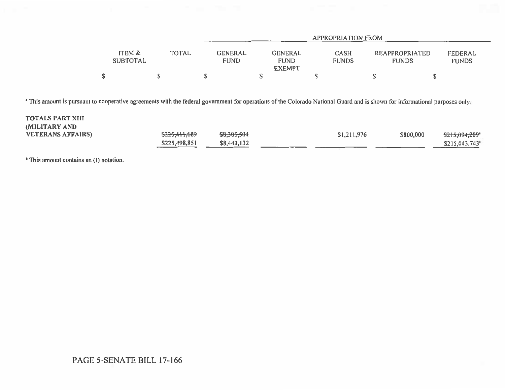|                           | APPROPRIATION FROM |  |                               |                                                |                      |                                |                         |  |  |
|---------------------------|--------------------|--|-------------------------------|------------------------------------------------|----------------------|--------------------------------|-------------------------|--|--|
| ITEM &<br><b>SUBTOTAL</b> | TOTAL              |  | <b>GENERAL</b><br><b>FUND</b> | <b>GENERAL</b><br><b>FUND</b><br><b>EXEMPT</b> | CASH<br><b>FUNDS</b> | REAPPROPRIATED<br><b>FUNDS</b> | FEDERAL<br><b>FUNDS</b> |  |  |
|                           |                    |  |                               |                                                |                      |                                |                         |  |  |

<sup>a</sup> This amount is pursuant to cooperative agreements with the federal government for operations of the Colorado National Guard and is shown for informational purposes only.

| <b>TOTALS PART XIII</b>  |               |             |             |           |                |
|--------------------------|---------------|-------------|-------------|-----------|----------------|
| <b>MILITARY AND</b>      |               |             |             |           |                |
| <b>VETERANS AFFAIRS)</b> | \$225,411,689 | \$8,305,504 | \$1,211,976 | \$800,000 | \$215,094,209* |
|                          | \$225,498,851 | \$8,443,132 |             |           | \$215,043,743" |

**' This amount contains an (I) notation.**